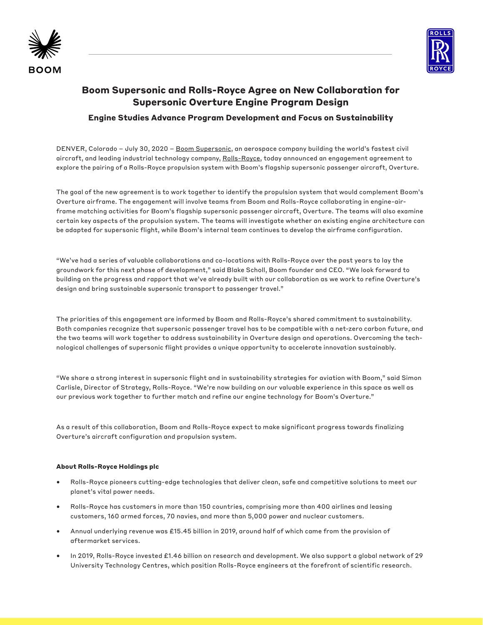



# **Boom Supersonic and Rolls-Royce Agree on New Collaboration for Supersonic Overture Engine Program Design**

## **Engine Studies Advance Program Development and Focus on Sustainability**

DENVER, Colorado - July 30, 2020 - [Boom Supersonic](https://boomsupersonic.com/), an aerospace company building the world's fastest civil aircraft, and leading industrial technology company, [Rolls-Royce,](https://www.rolls-royce.com/) today announced an engagement agreement to explore the pairing of a Rolls-Royce propulsion system with Boom's flagship supersonic passenger aircraft, Overture.

The goal of the new agreement is to work together to identify the propulsion system that would complement Boom's Overture airframe. The engagement will involve teams from Boom and Rolls-Royce collaborating in engine-airframe matching activities for Boom's flagship supersonic passenger aircraft, Overture. The teams will also examine certain key aspects of the propulsion system. The teams will investigate whether an existing engine architecture can be adapted for supersonic flight, while Boom's internal team continues to develop the airframe configuration.

"We've had a series of valuable collaborations and co-locations with Rolls-Royce over the past years to lay the groundwork for this next phase of development," said Blake Scholl, Boom founder and CEO. "We look forward to building on the progress and rapport that we've already built with our collaboration as we work to refine Overture's design and bring sustainable supersonic transport to passenger travel."

The priorities of this engagement are informed by Boom and Rolls-Royce's shared commitment to sustainability. Both companies recognize that supersonic passenger travel has to be compatible with a net-zero carbon future, and the two teams will work together to address sustainability in Overture design and operations. Overcoming the technological challenges of supersonic flight provides a unique opportunity to accelerate innovation sustainably.

"We share a strong interest in supersonic flight and in sustainability strategies for aviation with Boom," said Simon Carlisle, Director of Strategy, Rolls-Royce. "We're now building on our valuable experience in this space as well as our previous work together to further match and refine our engine technology for Boom's Overture."

As a result of this collaboration, Boom and Rolls-Royce expect to make significant progress towards finalizing Overture's aircraft configuration and propulsion system.

#### **About Rolls-Royce Holdings plc**

- Rolls-Royce pioneers cutting-edge technologies that deliver clean, safe and competitive solutions to meet our planet's vital power needs.
- Rolls-Royce has customers in more than 150 countries, comprising more than 400 airlines and leasing customers, 160 armed forces, 70 navies, and more than 5,000 power and nuclear customers.
- Annual underlying revenue was £15.45 billion in 2019, around half of which came from the provision of aftermarket services.
- In 2019, Rolls-Royce invested £1.46 billion on research and development. We also support a global network of 29 University Technology Centres, which position Rolls-Royce engineers at the forefront of scientific research.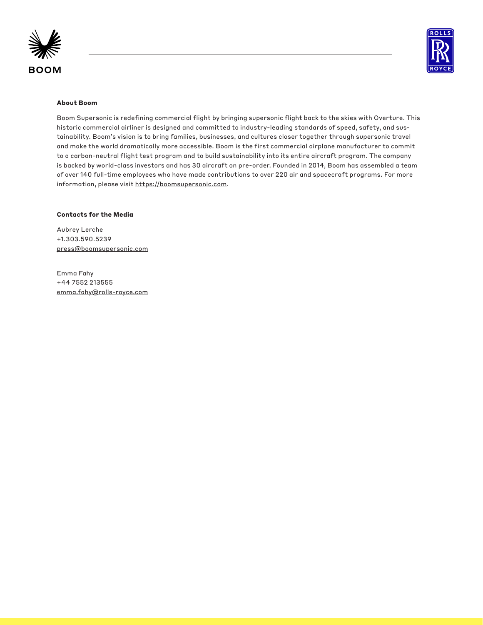



#### **About Boom**

Boom Supersonic is redefining commercial flight by bringing supersonic flight back to the skies with Overture. This historic commercial airliner is designed and committed to industry-leading standards of speed, safety, and sustainability. Boom's vision is to bring families, businesses, and cultures closer together through supersonic travel and make the world dramatically more accessible. Boom is the first commercial airplane manufacturer to commit to a carbon-neutral flight test program and to build sustainability into its entire aircraft program. The company is backed by world-class investors and has 30 aircraft on pre-order. Founded in 2014, Boom has assembled a team of over 140 full-time employees who have made contributions to over 220 air and spacecraft programs. For more information, please visit https://boomsupersonic.com.

#### **Contacts for the Media**

Aubrey Lerche +1.303.590.5239 press@boomsupersonic.com

Emma Fahy +44 7552 213555 emma.fahy@rolls-royce.com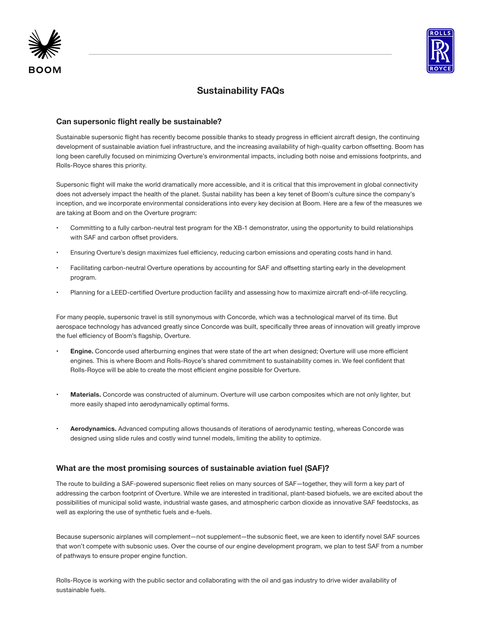



# **Sustainability FAQs**

### **Can supersonic flight really be sustainable?**

Sustainable supersonic flight has recently become possible thanks to steady progress in efficient aircraft design, the continuing development of sustainable aviation fuel infrastructure, and the increasing availability of high-quality carbon offsetting. Boom has long been carefully focused on minimizing Overture's environmental impacts, including both noise and emissions footprints, and Rolls-Royce shares this priority.

Supersonic flight will make the world dramatically more accessible, and it is critical that this improvement in global connectivity does not adversely impact the health of the planet. Sustai nability has been a key tenet of Boom's culture since the company's inception, and we incorporate environmental considerations into every key decision at Boom. Here are a few of the measures we are taking at Boom and on the Overture program:

- Committing to a fully carbon-neutral test program for the XB-1 demonstrator, using the opportunity to build relationships with SAF and carbon offset providers.
- Ensuring Overture's design maximizes fuel efficiency, reducing carbon emissions and operating costs hand in hand.
- Facilitating carbon-neutral Overture operations by accounting for SAF and offsetting starting early in the development program.
- Planning for a LEED-certified Overture production facility and assessing how to maximize aircraft end-of-life recycling.

For many people, supersonic travel is still synonymous with Concorde, which was a technological marvel of its time. But aerospace technology has advanced greatly since Concorde was built, specifically three areas of innovation will greatly improve the fuel efficiency of Boom's flagship, Overture.

- **• Engine.** Concorde used afterburning engines that were state of the art when designed; Overture will use more efficient engines. This is where Boom and Rolls-Royce's shared commitment to sustainability comes in. We feel confident that Rolls-Royce will be able to create the most efficient engine possible for Overture.
- **• Materials.** Concorde was constructed of aluminum. Overture will use carbon composites which are not only lighter, but more easily shaped into aerodynamically optimal forms.
- **• Aerodynamics.** Advanced computing allows thousands of iterations of aerodynamic testing, whereas Concorde was designed using slide rules and costly wind tunnel models, limiting the ability to optimize.

### **What are the most promising sources of sustainable aviation fuel (SAF)?**

The route to building a SAF-powered supersonic fleet relies on many sources of SAF—together, they will form a key part of addressing the carbon footprint of Overture. While we are interested in traditional, plant-based biofuels, we are excited about the possibilities of municipal solid waste, industrial waste gases, and atmospheric carbon dioxide as innovative SAF feedstocks, as well as exploring the use of synthetic fuels and e-fuels.

Because supersonic airplanes will complement—not supplement—the subsonic fleet, we are keen to identify novel SAF sources that won't compete with subsonic uses. Over the course of our engine development program, we plan to test SAF from a number of pathways to ensure proper engine function.

Rolls-Royce is working with the public sector and collaborating with the oil and gas industry to drive wider availability of sustainable fuels.